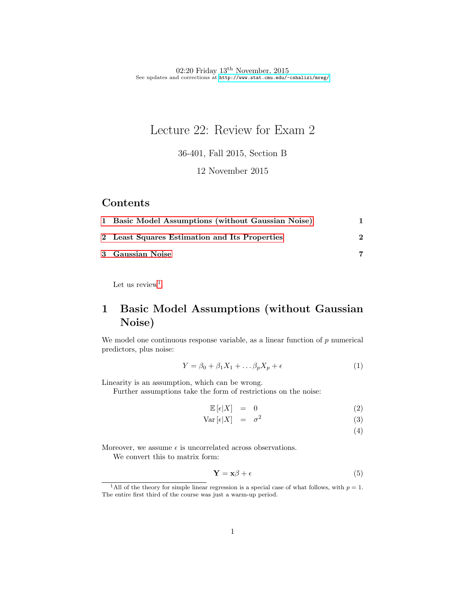# Lecture 22: Review for Exam 2

36-401, Fall 2015, Section B

12 November 2015

#### Contents

| 1 Basic Model Assumptions (without Gaussian Noise) |  |
|----------------------------------------------------|--|
| 2 Least Squares Estimation and Its Properties      |  |
| 3 Gaussian Noise                                   |  |

Let us review<sup>[1](#page-0-1)</sup>.

## <span id="page-0-0"></span>1 Basic Model Assumptions (without Gaussian Noise)

We model one continuous response variable, as a linear function of  $p$  numerical predictors, plus noise:

$$
Y = \beta_0 + \beta_1 X_1 + \dots \beta_p X_p + \epsilon \tag{1}
$$

Linearity is an assumption, which can be wrong.

Further assumptions take the form of restrictions on the noise:

$$
\mathbb{E}\left[\epsilon|X\right] = 0 \tag{2}
$$

$$
Var\left[\epsilon|X\right] = \sigma^2 \tag{3}
$$

(4)

Moreover, we assume  $\epsilon$  is uncorrelated across observations.

We convert this to matrix form:

$$
\mathbf{Y} = \mathbf{x}\beta + \epsilon \tag{5}
$$

<span id="page-0-1"></span><sup>&</sup>lt;sup>1</sup>All of the theory for simple linear regression is a special case of what follows, with  $p = 1$ . The entire first third of the course was just a warm-up period.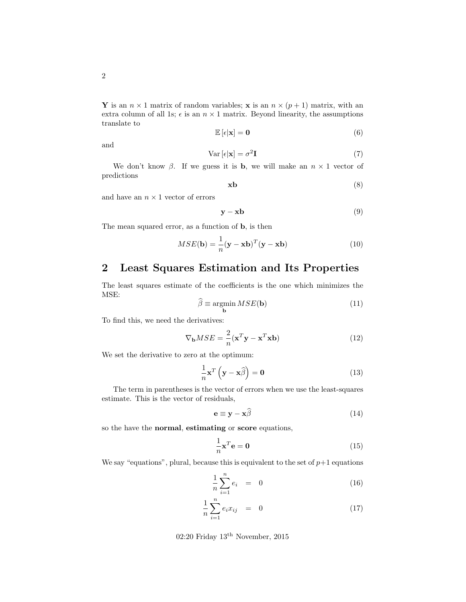Y is an  $n \times 1$  matrix of random variables; x is an  $n \times (p+1)$  matrix, with an extra column of all 1s;  $\epsilon$  is an  $n \times 1$  matrix. Beyond linearity, the assumptions translate to

$$
\mathbb{E}\left[\epsilon|\mathbf{x}\right] = \mathbf{0} \tag{6}
$$

and

$$
Var\left[\epsilon|\mathbf{x}\right] = \sigma^2 \mathbf{I} \tag{7}
$$

We don't know  $\beta$ . If we guess it is **b**, we will make an  $n \times 1$  vector of predictions

$$
x\mathbf{b} \tag{8}
$$

and have an  $n \times 1$  vector of errors

$$
y - xb \tag{9}
$$

The mean squared error, as a function of b, is then

$$
MSE(\mathbf{b}) = \frac{1}{n}(\mathbf{y} - \mathbf{x}\mathbf{b})^T(\mathbf{y} - \mathbf{x}\mathbf{b})
$$
(10)

### <span id="page-1-0"></span>2 Least Squares Estimation and Its Properties

The least squares estimate of the coefficients is the one which minimizes the MSE:

$$
\widehat{\beta} \equiv \underset{\mathbf{b}}{\operatorname{argmin}} \, MSE(\mathbf{b}) \tag{11}
$$

To find this, we need the derivatives:

$$
\nabla_{\mathbf{b}} MSE = \frac{2}{n} (\mathbf{x}^T \mathbf{y} - \mathbf{x}^T \mathbf{x} \mathbf{b})
$$
(12)

We set the derivative to zero at the optimum:

$$
\frac{1}{n}\mathbf{x}^T\left(\mathbf{y}-\mathbf{x}\hat{\beta}\right) = \mathbf{0}
$$
\n(13)

The term in parentheses is the vector of errors when we use the least-squares estimate. This is the vector of residuals,

$$
\mathbf{e} \equiv \mathbf{y} - \mathbf{x}\hat{\beta} \tag{14}
$$

so the have the normal, estimating or score equations,

$$
\frac{1}{n}\mathbf{x}^T\mathbf{e} = \mathbf{0} \tag{15}
$$

We say "equations", plural, because this is equivalent to the set of  $p+1$  equations

$$
\frac{1}{n}\sum_{i=1}^{n}e_{i} = 0 \tag{16}
$$

$$
\frac{1}{n}\sum_{i=1}^{n}e_{i}x_{ij} = 0 \tag{17}
$$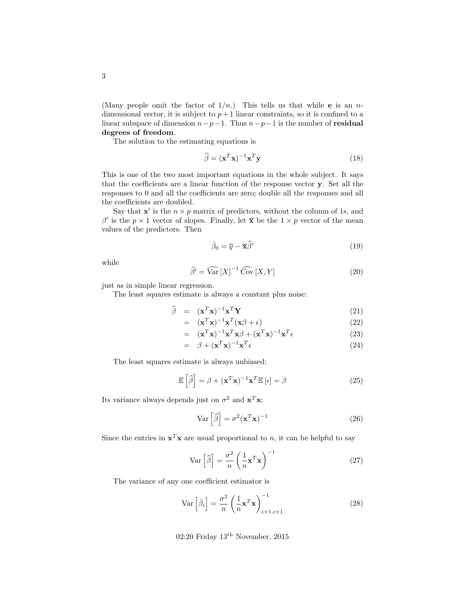(Many people omit the factor of  $1/n$ .) This tells us that while **e** is an *n*dimensional vector, it is subject to  $p+1$  linear constraints, so it is confined to a linear subspace of dimension  $n-p-1$ . Thus  $n-p-1$  is the number of **residual** degrees of freedom.

The solution to the estimating equations is

$$
\widehat{\beta} = (\mathbf{x}^T \mathbf{x})^{-1} \mathbf{x}^T \mathbf{y}
$$
\n(18)

This is one of the two most important equations in the whole subject. It says that the coefficients are a linear function of the response vector y. Set all the responses to 0 and all the coefficients are zero; double all the responses and all the coefficients are doubled.

Say that  $x'$  is the  $n \times p$  matrix of predictors, without the column of 1s, and  $\beta'$  is the  $p \times 1$  vector of slopes. Finally, let  $\bar{x}$  be the  $1 \times p$  vector of the mean values of the predictors. Then

$$
\hat{\beta}_0 = \overline{y} - \overline{\mathbf{x}} \hat{\beta}' \tag{19}
$$

while

$$
\widehat{\beta'} = \widehat{\text{Var}}\left[X\right]^{-1} \widehat{\text{Cov}}\left[X, Y\right] \tag{20}
$$

just as in simple linear regression.

The least squares estimate is always a constant plus noise:

$$
\widehat{\beta} = (\mathbf{x}^T \mathbf{x})^{-1} \mathbf{x}^T \mathbf{Y} \tag{21}
$$

$$
= (\mathbf{x}^T \mathbf{x})^{-1} \mathbf{x}^T (\mathbf{x} \beta + \epsilon) \tag{22}
$$

$$
= (\mathbf{x}^T \mathbf{x})^{-1} \mathbf{x}^T \mathbf{x} \beta + (\mathbf{x}^T \mathbf{x})^{-1} \mathbf{x}^T \epsilon
$$
 (23)

$$
= \beta + (\mathbf{x}^T \mathbf{x})^{-1} \mathbf{x}^T \epsilon \tag{24}
$$

The least squares estimate is always unbiased:

$$
\mathbb{E}\left[\widehat{\beta}\right] = \beta + (\mathbf{x}^T \mathbf{x})^{-1} \mathbf{x}^T \mathbb{E}\left[\epsilon\right] = \beta \tag{25}
$$

Its variance always depends just on  $\sigma^2$  and  $\mathbf{x}^T \mathbf{x}$ :

$$
\text{Var}\left[\hat{\beta}\right] = \sigma^2 (\mathbf{x}^T \mathbf{x})^{-1} \tag{26}
$$

Since the entries in  $\mathbf{x}^T \mathbf{x}$  are usual proportional to n, it can be helpful to say

$$
\text{Var}\left[\widehat{\beta}\right] = \frac{\sigma^2}{n} \left(\frac{1}{n} \mathbf{x}^T \mathbf{x}\right)^{-1} \tag{27}
$$

The variance of any one coefficient estimator is

$$
\text{Var}\left[\hat{\beta}_i\right] = \frac{\sigma^2}{n} \left(\frac{1}{n} \mathbf{x}^T \mathbf{x}\right)_{i+1, i+1}^{-1} \tag{28}
$$

02:20 Friday  $13^{\text{th}}$  November, 2015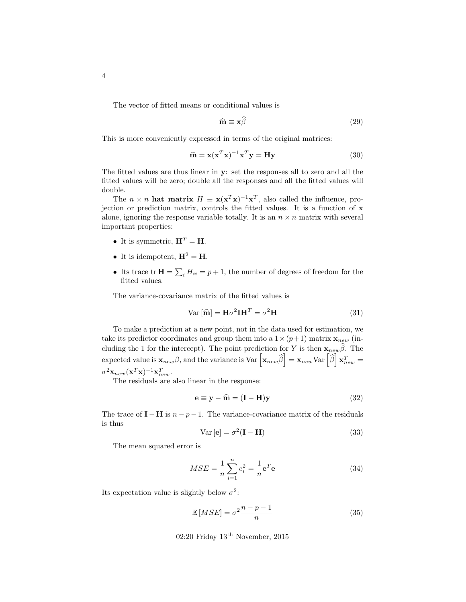The vector of fitted means or conditional values is

$$
\hat{\mathbf{m}} \equiv \mathbf{x}\beta \tag{29}
$$

This is more conveniently expressed in terms of the original matrices:

$$
\widehat{\mathbf{m}} = \mathbf{x}(\mathbf{x}^T \mathbf{x})^{-1} \mathbf{x}^T \mathbf{y} = \mathbf{H} \mathbf{y}
$$
 (30)

The fitted values are thus linear in y: set the responses all to zero and all the fitted values will be zero; double all the responses and all the fitted values will double.

The  $n \times n$  hat matrix  $H \equiv \mathbf{x}(\mathbf{x}^T \mathbf{x})^{-1} \mathbf{x}^T$ , also called the influence, projection or prediction matrix, controls the fitted values. It is a function of x alone, ignoring the response variable totally. It is an  $n \times n$  matrix with several important properties:

- It is symmetric,  $\mathbf{H}^T = \mathbf{H}$ .
- It is idempotent,  $\mathbf{H}^2 = \mathbf{H}$ .
- Its trace  $tr \mathbf{H} = \sum_i H_{ii} = p + 1$ , the number of degrees of freedom for the fitted values.

The variance-covariance matrix of the fitted values is

$$
Var\left[\widehat{\mathbf{m}}\right] = \mathbf{H}\sigma^2\mathbf{I}\mathbf{H}^T = \sigma^2\mathbf{H}
$$
\n(31)

To make a prediction at a new point, not in the data used for estimation, we take its predictor coordinates and group them into a  $1 \times (p+1)$  matrix  $\mathbf{x}_{new}$  (including the 1 for the intercept). The point prediction for Y is then  $\mathbf{x}_{new}\hat{\beta}$ . The expected value is  $\mathbf{x}_{new}\beta$ , and the variance is Var  $\left[\mathbf{x}_{new}\widehat{\beta}\right] = \mathbf{x}_{new}$ Var  $\left[\widehat{\beta}\right] \mathbf{x}_{new}^T =$  $\sigma^2\mathbf{x}_{new}(\mathbf{x}^T\mathbf{x})^{-1}\mathbf{x}_{new}^T$ .

The residuals are also linear in the response:

$$
\mathbf{e} \equiv \mathbf{y} - \hat{\mathbf{m}} = (\mathbf{I} - \mathbf{H})\mathbf{y}
$$
 (32)

The trace of  $\mathbf{I} - \mathbf{H}$  is  $n - p - 1$ . The variance-covariance matrix of the residuals is thus

$$
Var\left[\mathbf{e}\right] = \sigma^2(\mathbf{I} - \mathbf{H})\tag{33}
$$

The mean squared error is

$$
MSE = \frac{1}{n} \sum_{i=1}^{n} e_i^2 = \frac{1}{n} \mathbf{e}^T \mathbf{e}
$$
 (34)

Its expectation value is slightly below  $\sigma^2$ :

$$
\mathbb{E}\left[MSE\right] = \sigma^2 \frac{n-p-1}{n} \tag{35}
$$

02:20 Friday  $13^{\text{th}}$  November, 2015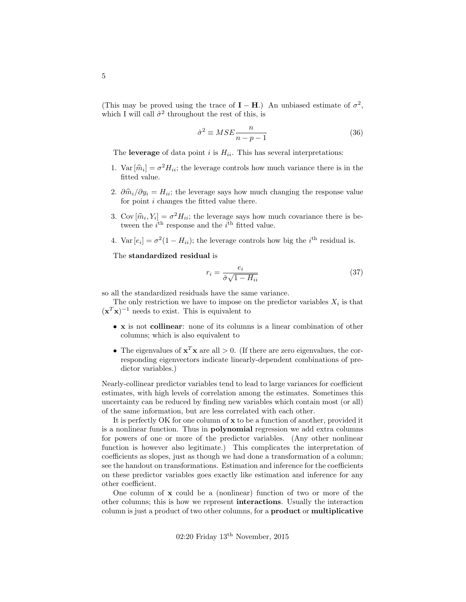(This may be proved using the trace of  $\mathbf{I} - \mathbf{H}$ .) An unbiased estimate of  $\sigma^2$ , which I will call  $\hat{\sigma}^2$  throughout the rest of this, is

$$
\hat{\sigma}^2 \equiv MSE \frac{n}{n - p - 1} \tag{36}
$$

The leverage of data point i is  $H_{ii}$ . This has several interpretations:

- 1. Var  $[\hat{m}_i] = \sigma^2 H_{ii}$ ; the leverage controls how much variance there is in the fitted value. fitted value.
- 2.  $\partial \hat{m}_i/\partial y_i = H_{ii}$ ; the leverage says how much changing the response value for point i changes the fitted value there.
- 3. Cov  $[\hat{m}_i, Y_i] = \sigma^2 H_{ii}$ ; the leverage says how much covariance there is be-<br>twoon the i<sup>th</sup> response and the i<sup>th</sup> fitted value. tween the  $i^{\text{th}}$  response and the  $i^{\text{th}}$  fitted value.
- 4. Var  $[e_i] = \sigma^2(1 H_{ii})$ ; the leverage controls how big the *i*<sup>th</sup> residual is.

The standardized residual is

$$
r_i = \frac{e_i}{\hat{\sigma}\sqrt{1 - H_{ii}}}
$$
\n(37)

so all the standardized residuals have the same variance.

The only restriction we have to impose on the predictor variables  $X_i$  is that  $(\mathbf{x}^T \mathbf{x})^{-1}$  needs to exist. This is equivalent to

- x is not collinear: none of its columns is a linear combination of other columns; which is also equivalent to
- The eigenvalues of  $\mathbf{x}^T \mathbf{x}$  are all  $> 0$ . (If there are zero eigenvalues, the corresponding eigenvectors indicate linearly-dependent combinations of predictor variables.)

Nearly-collinear predictor variables tend to lead to large variances for coefficient estimates, with high levels of correlation among the estimates. Sometimes this uncertainty can be reduced by finding new variables which contain most (or all) of the same information, but are less correlated with each other.

It is perfectly OK for one column of x to be a function of another, provided it is a nonlinear function. Thus in polynomial regression we add extra columns for powers of one or more of the predictor variables. (Any other nonlinear function is however also legitimate.) This complicates the interpretation of coefficients as slopes, just as though we had done a transformation of a column; see the handout on transformations. Estimation and inference for the coefficients on these predictor variables goes exactly like estimation and inference for any other coefficient.

One column of x could be a (nonlinear) function of two or more of the other columns; this is how we represent interactions. Usually the interaction column is just a product of two other columns, for a product or multiplicative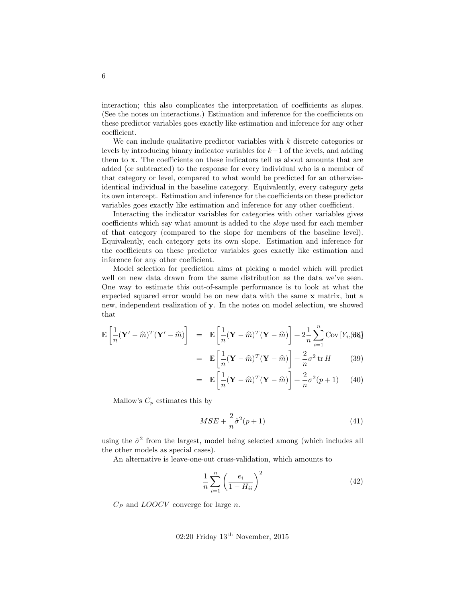interaction; this also complicates the interpretation of coefficients as slopes. (See the notes on interactions.) Estimation and inference for the coefficients on these predictor variables goes exactly like estimation and inference for any other coefficient.

We can include qualitative predictor variables with  $k$  discrete categories or levels by introducing binary indicator variables for k−1 of the levels, and adding them to x. The coefficients on these indicators tell us about amounts that are added (or subtracted) to the response for every individual who is a member of that category or level, compared to what would be predicted for an otherwiseidentical individual in the baseline category. Equivalently, every category gets its own intercept. Estimation and inference for the coefficients on these predictor variables goes exactly like estimation and inference for any other coefficient.

Interacting the indicator variables for categories with other variables gives coefficients which say what amount is added to the slope used for each member of that category (compared to the slope for members of the baseline level). Equivalently, each category gets its own slope. Estimation and inference for the coefficients on these predictor variables goes exactly like estimation and inference for any other coefficient.

Model selection for prediction aims at picking a model which will predict well on new data drawn from the same distribution as the data we've seen. One way to estimate this out-of-sample performance is to look at what the expected squared error would be on new data with the same x matrix, but a new, independent realization of y. In the notes on model selection, we showed that

$$
\mathbb{E}\left[\frac{1}{n}(\mathbf{Y}' - \widehat{m})^T(\mathbf{Y}' - \widehat{m})\right] = \mathbb{E}\left[\frac{1}{n}(\mathbf{Y} - \widehat{m})^T(\mathbf{Y} - \widehat{m})\right] + 2\frac{1}{n}\sum_{i=1}^n \text{Cov}\left[Y_i, \text{B}\mathbf{R}\right]
$$
\n
$$
= \mathbb{E}\left[\frac{1}{n}(\mathbf{Y} - \widehat{m})^T(\mathbf{Y} - \widehat{m})\right] + \frac{2}{n}\sigma^2 \text{tr}\,H\tag{39}
$$

$$
= \mathbb{E}\left[\frac{1}{n}(\mathbf{Y} - \widehat{m})^T(\mathbf{Y} - \widehat{m})\right] + \frac{2}{n}\sigma^2(p+1) \qquad (40)
$$

Mallow's  $C_p$  estimates this by

$$
MSE + \frac{2}{n}\hat{\sigma}^2(p+1) \tag{41}
$$

using the  $\hat{\sigma}^2$  from the largest, model being selected among (which includes all the other models as special cases).

An alternative is leave-one-out cross-validation, which amounts to

$$
\frac{1}{n}\sum_{i=1}^{n} \left(\frac{e_i}{1-H_{ii}}\right)^2\tag{42}
$$

 $C_P$  and  $LOOCV$  converge for large n.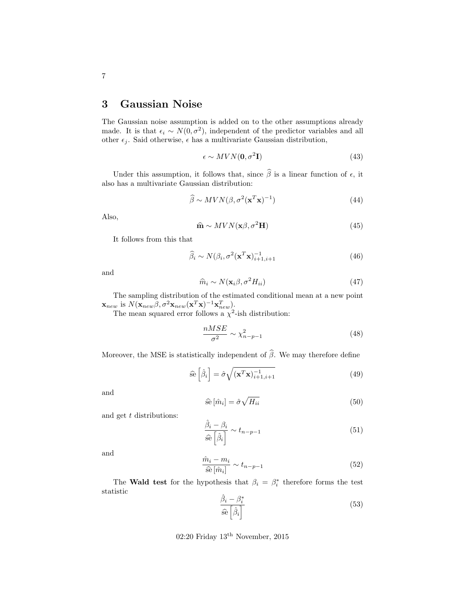#### <span id="page-6-0"></span>3 Gaussian Noise

The Gaussian noise assumption is added on to the other assumptions already made. It is that  $\epsilon_i \sim N(0, \sigma^2)$ , independent of the predictor variables and all other  $\epsilon_j$ . Said otherwise,  $\epsilon$  has a multivariate Gaussian distribution,

$$
\epsilon \sim MVN(\mathbf{0}, \sigma^2 \mathbf{I})\tag{43}
$$

Under this assumption, it follows that, since  $\widehat{\beta}$  is a linear function of  $\epsilon$ , it also has a multivariate Gaussian distribution:

$$
\widehat{\beta} \sim MVN(\beta, \sigma^2(\mathbf{x}^T \mathbf{x})^{-1})
$$
\n(44)

Also,

$$
\hat{\mathbf{m}} \sim MVN(\mathbf{x}\beta, \sigma^2\mathbf{H})\tag{45}
$$

It follows from this that

$$
\widehat{\beta}_i \sim N(\beta_i, \sigma^2(\mathbf{x}^T \mathbf{x})_{i+1, i+1}^{-1} \tag{46}
$$

and

$$
\widehat{m}_i \sim N(\mathbf{x}_i \beta, \sigma^2 H_{ii})
$$
\n(47)

The sampling distribution of the estimated conditional mean at a new point  $\mathbf{x}_{new}$  is  $N(\mathbf{x}_{new}\beta, \sigma^2\mathbf{x}_{new}(\mathbf{x}^T\mathbf{x})^{-1}\mathbf{x}_{new}^T)$ .

The mean squared error follows a  $\chi^2$ -ish distribution:

$$
\frac{nMSE}{\sigma^2} \sim \chi^2_{n-p-1} \tag{48}
$$

Moreover, the MSE is statistically independent of  $\hat{\beta}$ . We may therefore define

$$
\widehat{\text{se}}\left[\widehat{\beta}_{i}\right] = \widehat{\sigma}\sqrt{(\mathbf{x}^{T}\mathbf{x})_{i+1,i+1}^{-1}}
$$
\n(49)

and

$$
\hat{\mathbf{se}}\left[\hat{m}_i\right] = \hat{\sigma}\sqrt{H_{ii}}\tag{50}
$$

and get t distributions:

$$
\frac{\hat{\beta}_i - \beta_i}{\hat{\text{se}}\left[\hat{\beta}_i\right]} \sim t_{n-p-1} \tag{51}
$$

and

$$
\frac{\hat{m}_i - m_i}{\hat{\mathbf{se}}\left[\hat{m}_i\right]} \sim t_{n-p-1} \tag{52}
$$

The Wald test for the hypothesis that  $\beta_i = \beta_i^*$  therefore forms the test statistic

$$
\frac{\hat{\beta}_i - \beta_i^*}{\hat{\mathbf{se}}\left[\hat{\beta}_i\right]}
$$
\n(53)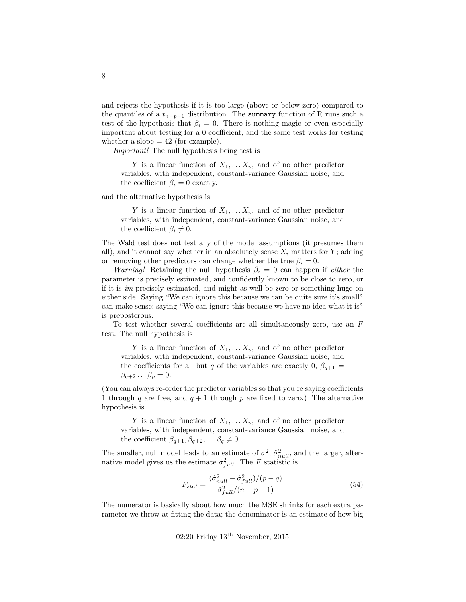and rejects the hypothesis if it is too large (above or below zero) compared to the quantiles of a  $t_{n-p-1}$  distribution. The summary function of R runs such a test of the hypothesis that  $\beta_i = 0$ . There is nothing magic or even especially important about testing for a 0 coefficient, and the same test works for testing whether a slope  $= 42$  (for example).

Important! The null hypothesis being test is

Y is a linear function of  $X_1, \ldots X_p$ , and of no other predictor variables, with independent, constant-variance Gaussian noise, and the coefficient  $\beta_i = 0$  exactly.

and the alternative hypothesis is

Y is a linear function of  $X_1, \ldots, X_p$ , and of no other predictor variables, with independent, constant-variance Gaussian noise, and the coefficient  $\beta_i \neq 0$ .

The Wald test does not test any of the model assumptions (it presumes them all), and it cannot say whether in an absolutely sense  $X_i$  matters for Y; adding or removing other predictors can change whether the true  $\beta_i = 0$ .

*Warning!* Retaining the null hypothesis  $\beta_i = 0$  can happen if *either* the parameter is precisely estimated, and confidently known to be close to zero, or if it is im-precisely estimated, and might as well be zero or something huge on either side. Saying "We can ignore this because we can be quite sure it's small" can make sense; saying "We can ignore this because we have no idea what it is" is preposterous.

To test whether several coefficients are all simultaneously zero, use an  $F$ test. The null hypothesis is

Y is a linear function of  $X_1, \ldots, X_p$ , and of no other predictor variables, with independent, constant-variance Gaussian noise, and the coefficients for all but q of the variables are exactly 0,  $\beta_{q+1}$  =  $\beta_{q+2} \ldots \beta_p = 0.$ 

(You can always re-order the predictor variables so that you're saying coefficients 1 through q are free, and  $q + 1$  through p are fixed to zero.) The alternative hypothesis is

Y is a linear function of  $X_1, \ldots, X_p$ , and of no other predictor variables, with independent, constant-variance Gaussian noise, and the coefficient  $\beta_{q+1}, \beta_{q+2}, \ldots \beta_q \neq 0$ .

The smaller, null model leads to an estimate of  $\sigma^2$ ,  $\hat{\sigma}_{null}^2$ , and the larger, alternative model gives us the estimate  $\hat{\sigma}_{full}^2$ . The F statistic is

$$
F_{stat} = \frac{(\hat{\sigma}_{null}^2 - \hat{\sigma}_{full}^2)/(p - q)}{\hat{\sigma}_{full}^2/(n - p - 1)}
$$
\n(54)

The numerator is basically about how much the MSE shrinks for each extra parameter we throw at fitting the data; the denominator is an estimate of how big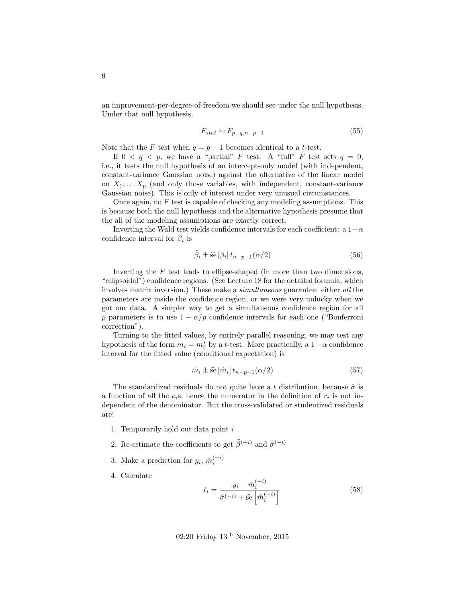an improvement-per-degree-of-freedom we should see under the null hypothesis. Under that null hypothesis,

$$
F_{stat} \sim F_{p-q, n-p-1} \tag{55}
$$

Note that the F test when  $q = p - 1$  becomes identical to a t-test.

If  $0 < q < p$ , we have a "partial" F test. A "full" F test sets  $q = 0$ , i.e., it tests the null hypothesis of an intercept-only model (with independent, constant-variance Gaussian noise) against the alternative of the linear model on  $X_1, \ldots, X_p$  (and only those variables, with independent, constant-variance Gaussian noise). This is only of interest under very unusual circumstances.

Once again, no  $F$  test is capable of checking any modeling assumptions. This is because both the null hypothesis and the alternative hypothesis presume that the all of the modeling assumptions are exactly correct.

Inverting the Wald test yields confidence intervals for each coefficient: a  $1-\alpha$ confidence interval for  $\beta_i$  is

$$
\hat{\beta}_i \pm \hat{\text{se}} \left[ \beta_i \right] t_{n-p-1} (\alpha/2) \tag{56}
$$

Inverting the  $F$  test leads to ellipse-shaped (in more than two dimensions, "ellipsoidal") confidence regions. (See Lecture 18 for the detailed formula, which involves matrix inversion.) These make a *simultaneous* guarantee: either all the parameters are inside the confidence region, or we were very unlucky when we got our data. A simpler way to get a simultaneous confidence region for all p parameters is to use  $1 - \alpha/p$  confidence intervals for each one ("Bonferroni correction").

Turning to the fitted values, by entirely parallel reasoning, we may test any hypothesis of the form  $m_i = m_i^*$  by a *t*-test. More practically, a  $1-\alpha$  confidence interval for the fitted value (conditional expectation) is

$$
\hat{m}_i \pm \hat{\mathbf{se}} \left[ \hat{m}_i \right] t_{n-p-1} (\alpha/2) \tag{57}
$$

The standardized residuals do not quite have a t distribution, because  $\hat{\sigma}$  is a function of all the  $e_i$ s, hence the numerator in the definition of  $r_i$  is not independent of the denominator. But the cross-validated or studentized residuals are:

- 1. Temporarily hold out data point i
- 2. Re-estimate the coefficients to get  $\hat{\beta}^{(-i)}$  and  $\hat{\sigma}^{(-i)}$
- 3. Make a prediction for  $y_i$ ,  $\hat{m}_i^{(-i)}$
- 4. Calculate

$$
t_i = \frac{y_i - \hat{m}_i^{(-i)}}{\hat{\sigma}^{(-i)} + \hat{\mathbf{se}}\left[\hat{m}_i^{(-i)}\right]}
$$
(58)